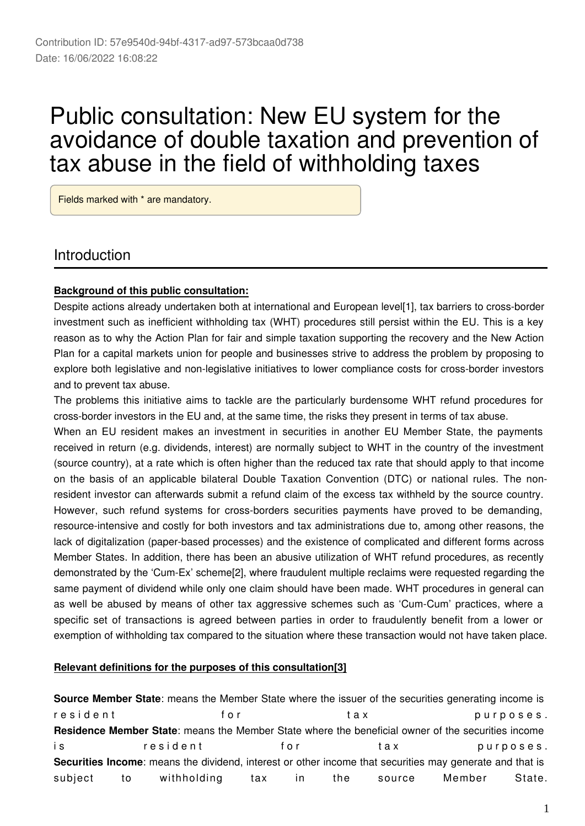# Public consultation: New EU system for the avoidance of double taxation and prevention of tax abuse in the field of withholding taxes

Fields marked with \* are mandatory.

### Introduction

#### **Background of this public consultation:**

Despite actions already undertaken both at international and European level[1], tax barriers to cross-border investment such as inefficient withholding tax (WHT) procedures still persist within the EU. This is a key reason as to why the Action Plan for fair and simple taxation supporting the recovery and the New Action Plan for a capital markets union for people and businesses strive to address the problem by proposing to explore both legislative and non-legislative initiatives to lower compliance costs for cross-border investors and to prevent tax abuse.

The problems this initiative aims to tackle are the particularly burdensome WHT refund procedures for cross-border investors in the EU and, at the same time, the risks they present in terms of tax abuse.

When an EU resident makes an investment in securities in another EU Member State, the payments received in return (e.g. dividends, interest) are normally subject to WHT in the country of the investment (source country), at a rate which is often higher than the reduced tax rate that should apply to that income on the basis of an applicable bilateral Double Taxation Convention (DTC) or national rules. The nonresident investor can afterwards submit a refund claim of the excess tax withheld by the source country. However, such refund systems for cross-borders securities payments have proved to be demanding, resource-intensive and costly for both investors and tax administrations due to, among other reasons, the lack of digitalization (paper-based processes) and the existence of complicated and different forms across Member States. In addition, there has been an abusive utilization of WHT refund procedures, as recently demonstrated by the 'Cum-Ex' scheme[2], where fraudulent multiple reclaims were requested regarding the same payment of dividend while only one claim should have been made. WHT procedures in general can as well be abused by means of other tax aggressive schemes such as 'Cum-Cum' practices, where a specific set of transactions is agreed between parties in order to fraudulently benefit from a lower or exemption of withholding tax compared to the situation where these transaction would not have taken place.

#### **Relevant definitions for the purposes of this consultation[3]**

**Source Member State**: means the Member State where the issuer of the securities generating income is resident for tax purposes. **Residence Member State**: means the Member State where the beneficial owner of the securities income is resident for tax purposes. **Securities Income**: means the dividend, interest or other income that securities may generate and that is subject to withholding tax in the source Member State.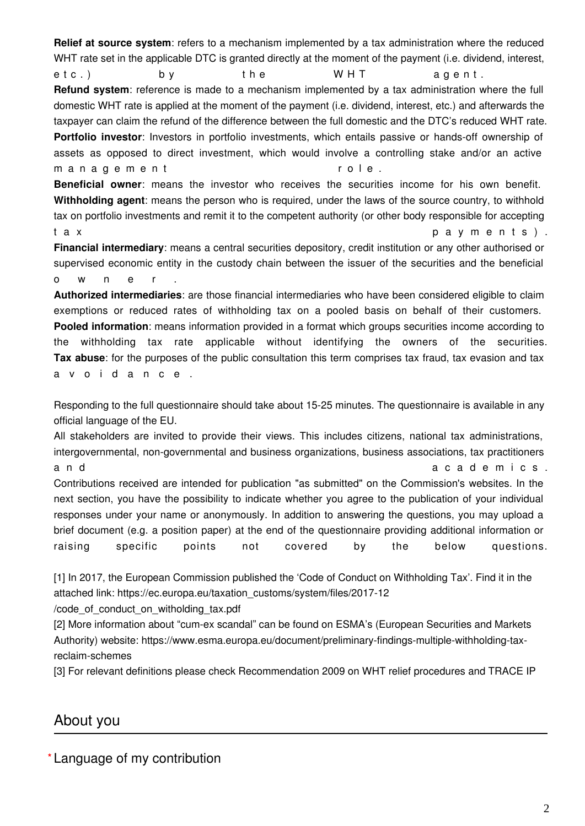**Relief at source system**: refers to a mechanism implemented by a tax administration where the reduced WHT rate set in the applicable DTC is granted directly at the moment of the payment (i.e. dividend, interest, etc.) by the WHT agent. **Refund system**: reference is made to a mechanism implemented by a tax administration where the full domestic WHT rate is applied at the moment of the payment (i.e. dividend, interest, etc.) and afterwards the taxpayer can claim the refund of the difference between the full domestic and the DTC's reduced WHT rate. **Portfolio investor**: Investors in portfolio investments, which entails passive or hands-off ownership of assets as opposed to direct investment, which would involve a controlling stake and/or an active m a n a g e m e n t r o l e . **Beneficial owner**: means the investor who receives the securities income for his own benefit.

**Withholding agent**: means the person who is required, under the laws of the source country, to withhold tax on portfolio investments and remit it to the competent authority (or other body responsible for accepting t a x set of the set of the set of the set of the set of the set of the set of the set of the set of the set o

**Financial intermediary**: means a central securities depository, credit institution or any other authorised or supervised economic entity in the custody chain between the issuer of the securities and the beneficial o w n e r .

**Authorized intermediaries**: are those financial intermediaries who have been considered eligible to claim exemptions or reduced rates of withholding tax on a pooled basis on behalf of their customers. **Pooled information**: means information provided in a format which groups securities income according to the withholding tax rate applicable without identifying the owners of the securities. **Tax abuse**: for the purposes of the public consultation this term comprises tax fraud, tax evasion and tax a v o i d a n c e .

Responding to the full questionnaire should take about 15-25 minutes. The questionnaire is available in any official language of the EU.

All stakeholders are invited to provide their views. This includes citizens, national tax administrations, intergovernmental, non-governmental and business organizations, business associations, tax practitioners a n d a c a d e m i c s . Contributions received are intended for publication "as submitted" on the Commission's websites. In the next section, you have the possibility to indicate whether you agree to the publication of your individual responses under your name or anonymously. In addition to answering the questions, you may upload a brief document (e.g. a position paper) at the end of the questionnaire providing additional information or raising specific points not covered by the below questions.

[1] In 2017, the European Commission published the 'Code of Conduct on Withholding Tax'. Find it in the attached link: https://ec.europa.eu/taxation\_customs/system/files/2017-12

/code\_of\_conduct\_on\_witholding\_tax.pdf

[2] More information about "cum-ex scandal" can be found on ESMA's (European Securities and Markets Authority) website: https://www.esma.europa.eu/document/preliminary-findings-multiple-withholding-taxreclaim-schemes

[3] For relevant definitions please check Recommendation 2009 on WHT relief procedures and TRACE IP

### About you

**\*** Language of my contribution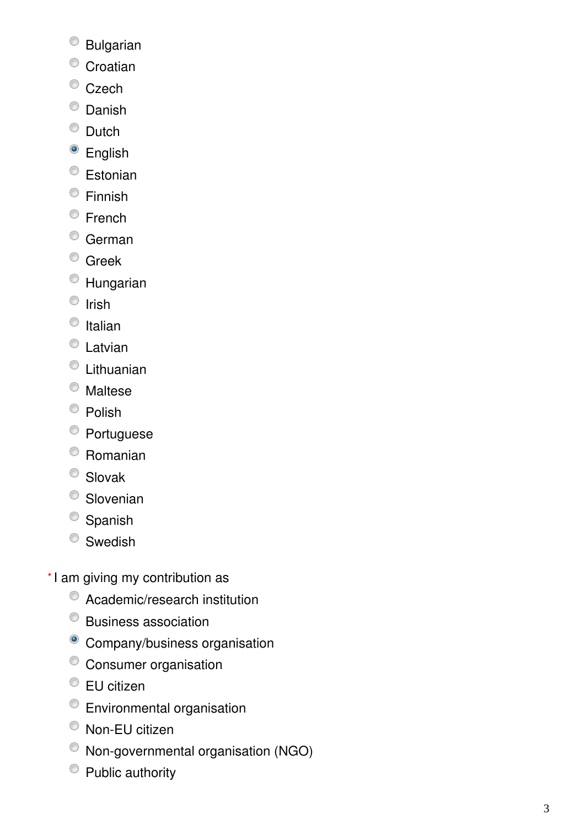- Bulgarian
- <sup>O</sup> Croatian
- <sup>O</sup> Czech
- <sup>O</sup> Danish
- $\bullet$  Dutch
- <sup>o</sup> English
- <sup>C</sup> Estonian
- Finnish
- <sup>©</sup> French
- <sup>o</sup> German
- <sup>o</sup> Greek
- Hungarian
- $\circ$  Irish
- $\bullet$  Italian
- Latvian
- Lithuanian
- Maltese
- $\bullet$  Polish
- <sup>O</sup> Portuguese
- Romanian
- <sup>O</sup> Slovak
- Slovenian
- <sup>O</sup> Spanish
- <sup>©</sup> Swedish
- \*I am giving my contribution as
	- Academic/research institution
	- Business association
	- <sup>o</sup> Company/business organisation
	- Consumer organisation
	- EU citizen
	- Environmental organisation
	- Non-EU citizen
	- Non-governmental organisation (NGO)
	- Public authority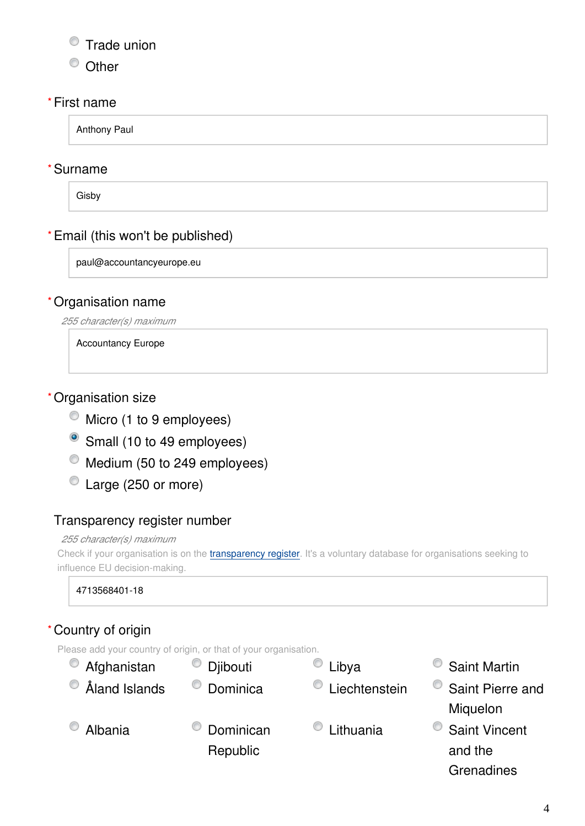### **Trade union**

<sup>O</sup> Other

#### First name **\***

Anthony Paul

### Surname **\***

Gisby

### Email (this won't be published) **\***

paul@accountancyeurope.eu

### Organisation name **\***

*255 character(s) maximum*

Accountancy Europe

### Organisation size **\***

- $\bullet$  Micro (1 to 9 employees)
- Small (10 to 49 employees)
- $^{\circ}$  Medium (50 to 249 employees)
- Large (250 or more)

#### Transparency register number

#### *255 character(s) maximum*

Check if your organisation is on the [transparency register](http://ec.europa.eu/transparencyregister/public/homePage.do?redir=false&locale=en). It's a voluntary database for organisations seeking to influence EU decision-making.

4713568401-18

### Country of origin **\***

Please add your country of origin, or that of your organisation.

| Afghanistan        | Djibouti                       | Libya     | <b>Saint Martin</b>  |
|--------------------|--------------------------------|-----------|----------------------|
| Åland Islands<br>O | c<br>Dominica<br>Liechtenstein |           | Saint Pierre and     |
|                    |                                |           | Miquelon             |
| Albania            | Dominican                      | Lithuania | <b>Saint Vincent</b> |
|                    | Republic                       |           | and the              |
|                    |                                |           | Grenadines           |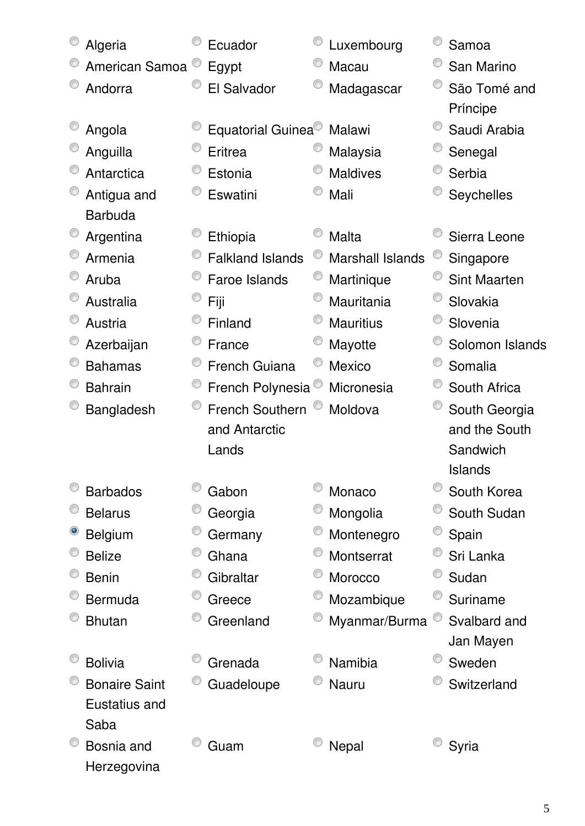| Algeria              | Ecuador                 | Luxembourg              | Samoa               |
|----------------------|-------------------------|-------------------------|---------------------|
| American Samoa       | Egypt                   | Macau                   | San Marino          |
| Andorra              | El Salvador             | Madagascar              | São Tomé and        |
|                      |                         |                         | Príncipe            |
| Angola               | Equatorial Guinea       | Malawi                  | Saudi Arabia        |
| Anguilla             | Eritrea                 | Malaysia                | Senegal             |
| Antarctica           | Estonia                 | <b>Maldives</b>         | Serbia              |
| Antigua and          | Eswatini                | Mali                    | Seychelles          |
| <b>Barbuda</b>       |                         |                         |                     |
| Argentina            | Ethiopia                | Malta                   | Sierra Leone        |
| Armenia              | <b>Falkland Islands</b> | <b>Marshall Islands</b> | Singapore           |
| Aruba                | <b>Faroe Islands</b>    | Martinique              | <b>Sint Maarten</b> |
| Australia            | Fiji                    | Mauritania              | Slovakia            |
| Austria              | Finland                 | <b>Mauritius</b>        | Slovenia            |
| Azerbaijan           | France                  | Mayotte                 | Solomon Islands     |
| <b>Bahamas</b>       | <b>French Guiana</b>    | <b>Mexico</b>           | Somalia             |
| <b>Bahrain</b>       | French Polynesia        | Micronesia              | South Africa        |
| Bangladesh           | <b>French Southern</b>  | Moldova                 | South Georgia       |
|                      | and Antarctic           |                         | and the South       |
|                      | Lands                   |                         | Sandwich            |
|                      |                         |                         | <b>Islands</b>      |
| <b>Barbados</b>      | Gabon                   | Monaco                  | South Korea         |
| <b>Belarus</b>       | Georgia                 | Mongolia                | South Sudan         |
| <b>Belgium</b>       | Germany                 | Montenegro              | Spain               |
| <b>Belize</b>        | Ghana                   | Montserrat              | Sri Lanka           |
| <b>Benin</b>         | Gibraltar               | Morocco                 | Sudan               |
| <b>Bermuda</b>       | Greece                  | Mozambique              | Suriname            |
| <b>Bhutan</b>        | Greenland               | Myanmar/Burma           | Svalbard and        |
|                      |                         |                         | Jan Mayen           |
| <b>Bolivia</b>       | Grenada                 | Namibia                 | Sweden              |
| <b>Bonaire Saint</b> | Guadeloupe              | <b>Nauru</b>            | Switzerland         |
| Eustatius and        |                         |                         |                     |
| Saba                 |                         |                         |                     |
| Bosnia and           | Guam                    | Nepal                   | Syria               |
| Herzegovina          |                         |                         |                     |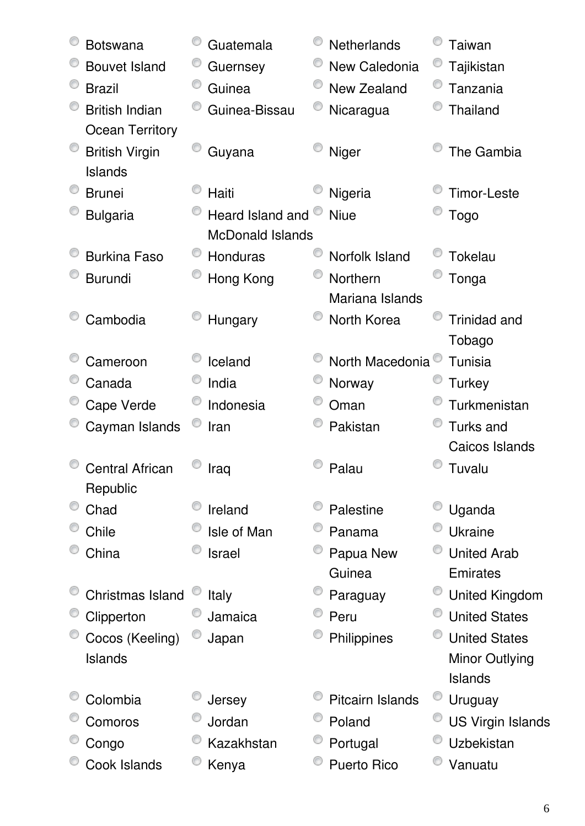| <b>Botswana</b>        | Guatemala               | <b>Netherlands</b>           | Taiwan                   |
|------------------------|-------------------------|------------------------------|--------------------------|
| <b>Bouvet Island</b>   | Guernsey                | New Caledonia                | Tajikistan               |
| <b>Brazil</b>          | Guinea                  | New Zealand                  | Tanzania                 |
| <b>British Indian</b>  | Guinea-Bissau           | Nicaragua                    | Thailand                 |
| <b>Ocean Territory</b> |                         |                              |                          |
| <b>British Virgin</b>  | Guyana                  | Niger                        | The Gambia               |
| Islands                |                         |                              |                          |
| <b>Brunei</b>          | Haiti                   | Nigeria                      | <b>Timor-Leste</b>       |
| <b>Bulgaria</b>        | Heard Island and        | <b>Niue</b>                  | <b>Togo</b>              |
|                        | <b>McDonald Islands</b> |                              |                          |
| <b>Burkina Faso</b>    | Honduras                | Norfolk Island               | <b>Tokelau</b>           |
| <b>Burundi</b>         | Hong Kong               | Northern                     | Tonga                    |
|                        |                         | Mariana Islands              |                          |
| Cambodia               | Hungary                 | North Korea                  | <b>Trinidad and</b>      |
|                        |                         |                              | Tobago                   |
| Cameroon               | Iceland                 | North Macedonia <sup>®</sup> | Tunisia                  |
| Canada                 | India                   | Norway                       | <b>Turkey</b>            |
| Cape Verde             | Indonesia               | Oman                         | Turkmenistan             |
| Cayman Islands         | Iran                    | Pakistan                     | <b>Turks and</b>         |
|                        |                         |                              | Caicos Islands           |
| <b>Central African</b> | Iraq                    | Palau                        | Tuvalu                   |
| Republic               |                         |                              |                          |
| Chad                   | Ireland                 | Palestine                    | Uganda                   |
| Chile                  | Isle of Man             | Panama                       | <b>Ukraine</b>           |
| China                  | <b>Israel</b>           | Papua New                    | <b>United Arab</b>       |
|                        |                         | Guinea                       | <b>Emirates</b>          |
| Christmas Island       | <b>Italy</b>            | Paraguay                     | <b>United Kingdom</b>    |
| Clipperton             | Jamaica                 | Peru                         | <b>United States</b>     |
| Cocos (Keeling)        | Japan                   | Philippines                  | <b>United States</b>     |
| Islands                |                         |                              | Minor Outlying           |
|                        |                         |                              | Islands                  |
| Colombia               | Jersey                  | <b>Pitcairn Islands</b>      | Uruguay                  |
| Comoros                | Jordan                  | Poland                       | <b>US Virgin Islands</b> |
| Congo                  | Kazakhstan              | Portugal                     | Uzbekistan               |
| Cook Islands           | Kenya                   | <b>Puerto Rico</b>           | Vanuatu                  |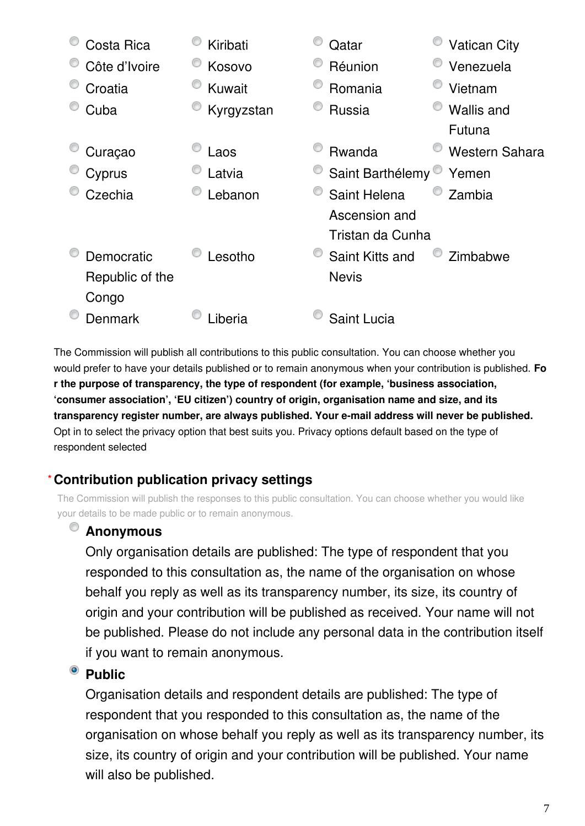| Costa Rica      | Kiribati   | Qatar            | <b>Vatican City</b>   |
|-----------------|------------|------------------|-----------------------|
| Côte d'Ivoire   | Kosovo     | Réunion          | Venezuela             |
| Croatia         | Kuwait     | Romania          | Vietnam               |
| Cuba            | Kyrgyzstan | Russia           | Wallis and            |
|                 |            |                  | Futuna                |
| Curaçao         | Laos       | Rwanda           | <b>Western Sahara</b> |
| Cyprus          | Latvia     | Saint Barthélemy | Yemen                 |
| Czechia         | Lebanon    | Saint Helena     | Zambia                |
|                 |            | Ascension and    |                       |
|                 |            | Tristan da Cunha |                       |
| Democratic      | Lesotho    | Saint Kitts and  | Zimbabwe              |
| Republic of the |            | <b>Nevis</b>     |                       |
| Congo           |            |                  |                       |
| Denmark         | _iberia    | Saint Lucia      |                       |

The Commission will publish all contributions to this public consultation. You can choose whether you would prefer to have your details published or to remain anonymous when your contribution is published. **Fo r the purpose of transparency, the type of respondent (for example, 'business association, 'consumer association', 'EU citizen') country of origin, organisation name and size, and its transparency register number, are always published. Your e-mail address will never be published.** Opt in to select the privacy option that best suits you. Privacy options default based on the type of respondent selected

#### **Contribution publication privacy settings \***

The Commission will publish the responses to this public consultation. You can choose whether you would like your details to be made public or to remain anonymous.

### **Anonymous**

Only organisation details are published: The type of respondent that you responded to this consultation as, the name of the organisation on whose behalf you reply as well as its transparency number, its size, its country of origin and your contribution will be published as received. Your name will not be published. Please do not include any personal data in the contribution itself if you want to remain anonymous.

### <sup>®</sup> Public

Organisation details and respondent details are published: The type of respondent that you responded to this consultation as, the name of the organisation on whose behalf you reply as well as its transparency number, its size, its country of origin and your contribution will be published. Your name will also be published.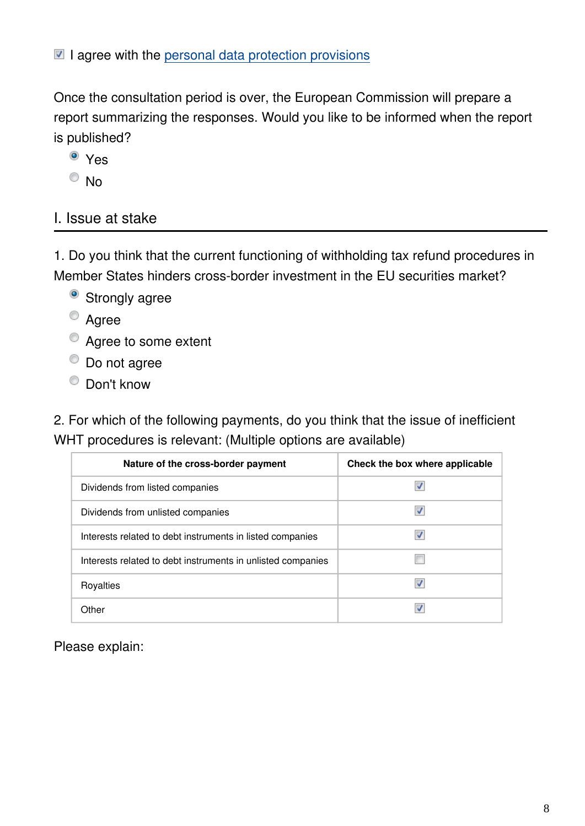$\blacksquare$  I agree with the [personal data protection provisions](https://ec.europa.eu/info/law/better-regulation/specific-privacy-statement)

Once the consultation period is over, the European Commission will prepare a report summarizing the responses. Would you like to be informed when the report is published?

- <sup>o</sup> Yes  $\circ$  No
- I. Issue at stake

1. Do you think that the current functioning of withholding tax refund procedures in Member States hinders cross-border investment in the EU securities market?

- <sup>o</sup> Strongly agree
- Agree
- Agree to some extent
- $\bullet$  Do not agree
- Don't know

2. For which of the following payments, do you think that the issue of inefficient WHT procedures is relevant: (Multiple options are available)

| Nature of the cross-border payment                          | Check the box where applicable |
|-------------------------------------------------------------|--------------------------------|
| Dividends from listed companies                             |                                |
| Dividends from unlisted companies                           | w                              |
| Interests related to debt instruments in listed companies   |                                |
| Interests related to debt instruments in unlisted companies |                                |
| Royalties                                                   | √                              |
| Other                                                       |                                |

Please explain: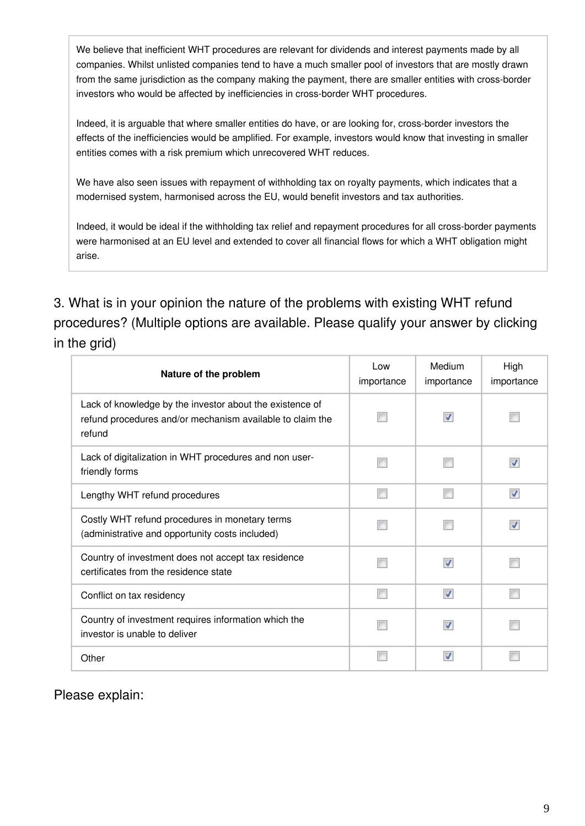We believe that inefficient WHT procedures are relevant for dividends and interest payments made by all companies. Whilst unlisted companies tend to have a much smaller pool of investors that are mostly drawn from the same jurisdiction as the company making the payment, there are smaller entities with cross-border investors who would be affected by inefficiencies in cross-border WHT procedures.

Indeed, it is arguable that where smaller entities do have, or are looking for, cross-border investors the effects of the inefficiencies would be amplified. For example, investors would know that investing in smaller entities comes with a risk premium which unrecovered WHT reduces.

We have also seen issues with repayment of withholding tax on royalty payments, which indicates that a modernised system, harmonised across the EU, would benefit investors and tax authorities.

Indeed, it would be ideal if the withholding tax relief and repayment procedures for all cross-border payments were harmonised at an EU level and extended to cover all financial flows for which a WHT obligation might arise.

3. What is in your opinion the nature of the problems with existing WHT refund procedures? (Multiple options are available. Please qualify your answer by clicking in the grid)

| Nature of the problem                                                                                                           | Low<br>importance | Medium<br>importance    | High<br>importance |
|---------------------------------------------------------------------------------------------------------------------------------|-------------------|-------------------------|--------------------|
| Lack of knowledge by the investor about the existence of<br>refund procedures and/or mechanism available to claim the<br>refund |                   | V                       |                    |
| Lack of digitalization in WHT procedures and non user-<br>friendly forms                                                        | П                 |                         |                    |
| Lengthy WHT refund procedures                                                                                                   | г                 |                         | ⊽                  |
| Costly WHT refund procedures in monetary terms<br>(administrative and opportunity costs included)                               |                   |                         | √                  |
| Country of investment does not accept tax residence<br>certificates from the residence state                                    |                   | V                       |                    |
| Conflict on tax residency                                                                                                       | г                 | $\overline{\mathsf{v}}$ |                    |
| Country of investment requires information which the<br>investor is unable to deliver                                           | г                 | V                       |                    |
| Other                                                                                                                           |                   | ⊽                       |                    |

Please explain: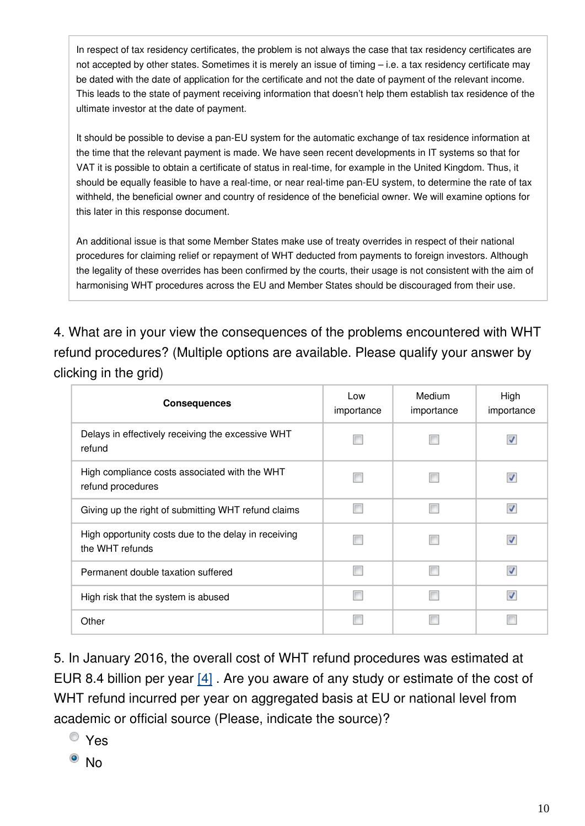In respect of tax residency certificates, the problem is not always the case that tax residency certificates are not accepted by other states. Sometimes it is merely an issue of timing – i.e. a tax residency certificate may be dated with the date of application for the certificate and not the date of payment of the relevant income. This leads to the state of payment receiving information that doesn't help them establish tax residence of the ultimate investor at the date of payment.

It should be possible to devise a pan-EU system for the automatic exchange of tax residence information at the time that the relevant payment is made. We have seen recent developments in IT systems so that for VAT it is possible to obtain a certificate of status in real-time, for example in the United Kingdom. Thus, it should be equally feasible to have a real-time, or near real-time pan-EU system, to determine the rate of tax withheld, the beneficial owner and country of residence of the beneficial owner. We will examine options for this later in this response document.

An additional issue is that some Member States make use of treaty overrides in respect of their national procedures for claiming relief or repayment of WHT deducted from payments to foreign investors. Although the legality of these overrides has been confirmed by the courts, their usage is not consistent with the aim of harmonising WHT procedures across the EU and Member States should be discouraged from their use.

4. What are in your view the consequences of the problems encountered with WHT refund procedures? (Multiple options are available. Please qualify your answer by clicking in the grid)

| <b>Consequences</b>                                                     | Low<br>importance | Medium<br>importance | High<br>importance       |
|-------------------------------------------------------------------------|-------------------|----------------------|--------------------------|
| Delays in effectively receiving the excessive WHT<br>refund             |                   |                      | V                        |
| High compliance costs associated with the WHT<br>refund procedures      |                   |                      |                          |
| Giving up the right of submitting WHT refund claims                     |                   |                      | V                        |
| High opportunity costs due to the delay in receiving<br>the WHT refunds |                   |                      | √                        |
| Permanent double taxation suffered                                      |                   |                      | ⊽                        |
| High risk that the system is abused                                     |                   |                      | $\overline{\mathcal{L}}$ |
| Other                                                                   |                   |                      |                          |

5. In January 2016, the overall cost of WHT refund procedures was estimated at EUR 8.4 billion per year [\[4\]](https://ec.europa.eu/eusurvey/%20 https:/ec.europa.eu/info/sites/default/files/170227-report-capital-barriers_en.pdf) . Are you aware of any study or estimate of the cost of WHT refund incurred per year on aggregated basis at EU or national level from academic or official source (Please, indicate the source)?

- Yes
- $\bullet$  No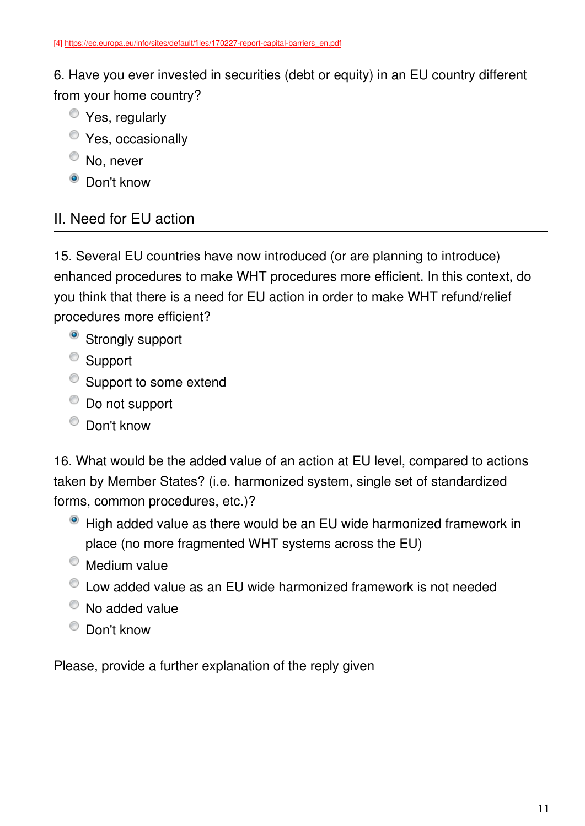6. Have you ever invested in securities (debt or equity) in an EU country different from your home country?

- Yes, regularly
- **Yes**, occasionally
- <sup>O</sup> No, never
- <sup>O</sup> Don't know

### II. Need for EU action

15. Several EU countries have now introduced (or are planning to introduce) enhanced procedures to make WHT procedures more efficient. In this context, do you think that there is a need for EU action in order to make WHT refund/relief procedures more efficient?

- <sup>o</sup> Strongly support
- <sup>o</sup> Support
- Support to some extend
- $\bullet$  Do not support
- Don't know

16. What would be the added value of an action at EU level, compared to actions taken by Member States? (i.e. harmonized system, single set of standardized forms, common procedures, etc.)?

- High added value as there would be an EU wide harmonized framework in place (no more fragmented WHT systems across the EU)
- **Medium value**
- Low added value as an EU wide harmonized framework is not needed
- $\bullet$  No added value
- Don't know

Please, provide a further explanation of the reply given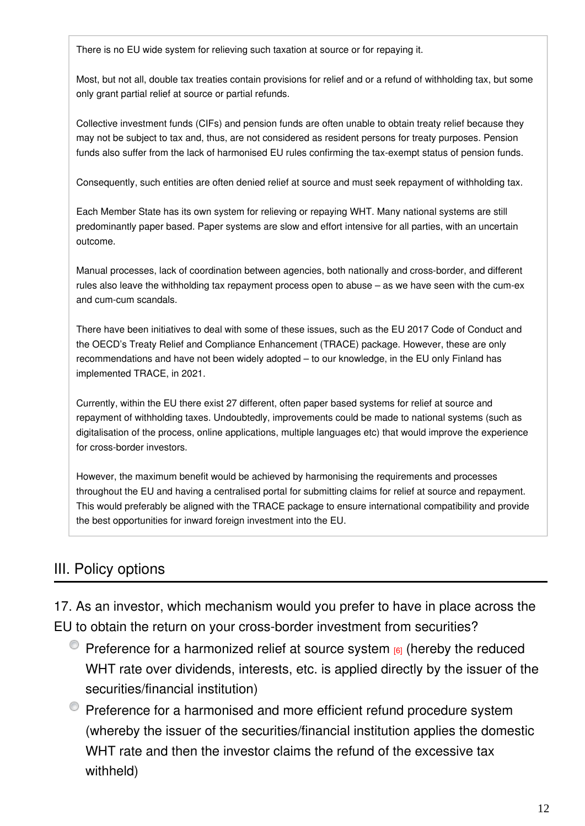There is no EU wide system for relieving such taxation at source or for repaying it.

Most, but not all, double tax treaties contain provisions for relief and or a refund of withholding tax, but some only grant partial relief at source or partial refunds.

Collective investment funds (CIFs) and pension funds are often unable to obtain treaty relief because they may not be subject to tax and, thus, are not considered as resident persons for treaty purposes. Pension funds also suffer from the lack of harmonised EU rules confirming the tax-exempt status of pension funds.

Consequently, such entities are often denied relief at source and must seek repayment of withholding tax.

Each Member State has its own system for relieving or repaying WHT. Many national systems are still predominantly paper based. Paper systems are slow and effort intensive for all parties, with an uncertain outcome.

Manual processes, lack of coordination between agencies, both nationally and cross-border, and different rules also leave the withholding tax repayment process open to abuse – as we have seen with the cum-ex and cum-cum scandals.

There have been initiatives to deal with some of these issues, such as the EU 2017 Code of Conduct and the OECD's Treaty Relief and Compliance Enhancement (TRACE) package. However, these are only recommendations and have not been widely adopted – to our knowledge, in the EU only Finland has implemented TRACE, in 2021.

Currently, within the EU there exist 27 different, often paper based systems for relief at source and repayment of withholding taxes. Undoubtedly, improvements could be made to national systems (such as digitalisation of the process, online applications, multiple languages etc) that would improve the experience for cross-border investors.

However, the maximum benefit would be achieved by harmonising the requirements and processes throughout the EU and having a centralised portal for submitting claims for relief at source and repayment. This would preferably be aligned with the TRACE package to ensure international compatibility and provide the best opportunities for inward foreign investment into the EU.

### III. Policy options

17. As an investor, which mechanism would you prefer to have in place across the EU to obtain the return on your cross-border investment from securities?

- $\bullet$  Preference for a harmonized relief at source system  $_{[6]}$  (hereby the reduced WHT rate over dividends, interests, etc. is applied directly by the issuer of the securities/financial institution)
- **•** Preference for a harmonised and more efficient refund procedure system (whereby the issuer of the securities/financial institution applies the domestic WHT rate and then the investor claims the refund of the excessive tax withheld)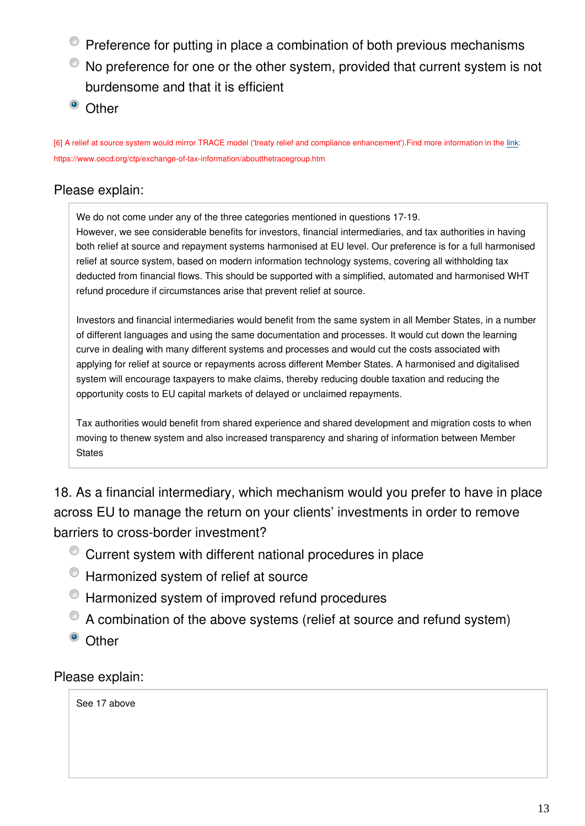- **•** Preference for putting in place a combination of both previous mechanisms
- No preference for one or the other system, provided that current system is not burdensome and that it is efficient
- <sup>o</sup> Other

[6] A relief at source system would mirror TRACE model ('treaty relief and compliance enhancement').Find more information in the [link:](https://www.oecd.org/ctp/exchange-of-tax-information/aboutthetracegroup.htm) https://www.oecd.org/ctp/exchange-of-tax-information/aboutthetracegroup.htm

### Please explain:

We do not come under any of the three categories mentioned in questions 17-19. However, we see considerable benefits for investors, financial intermediaries, and tax authorities in having both relief at source and repayment systems harmonised at EU level. Our preference is for a full harmonised relief at source system, based on modern information technology systems, covering all withholding tax deducted from financial flows. This should be supported with a simplified, automated and harmonised WHT refund procedure if circumstances arise that prevent relief at source.

Investors and financial intermediaries would benefit from the same system in all Member States, in a number of different languages and using the same documentation and processes. It would cut down the learning curve in dealing with many different systems and processes and would cut the costs associated with applying for relief at source or repayments across different Member States. A harmonised and digitalised system will encourage taxpayers to make claims, thereby reducing double taxation and reducing the opportunity costs to EU capital markets of delayed or unclaimed repayments.

Tax authorities would benefit from shared experience and shared development and migration costs to when moving to thenew system and also increased transparency and sharing of information between Member **States** 

18. As a financial intermediary, which mechanism would you prefer to have in place across EU to manage the return on your clients' investments in order to remove barriers to cross-border investment?

- Current system with different national procedures in place
- <sup>O</sup> Harmonized system of relief at source
- $\bullet$  Harmonized system of improved refund procedures
- A combination of the above systems (relief at source and refund system)
- <sup>o</sup> Other

Please explain:

See 17 above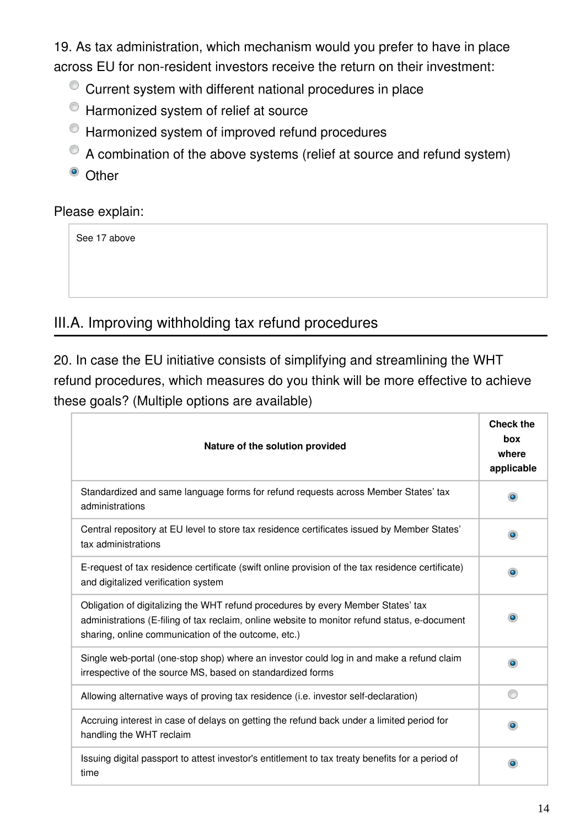19. As tax administration, which mechanism would you prefer to have in place across EU for non-resident investors receive the return on their investment:

- Current system with different national procedures in place
- $\bullet$  Harmonized system of relief at source
- $\bullet$  Harmonized system of improved refund procedures
- A combination of the above systems (relief at source and refund system)
- <sup>o</sup> Other

### Please explain:

See 17 above

### III.A. Improving withholding tax refund procedures

20. In case the EU initiative consists of simplifying and streamlining the WHT refund procedures, which measures do you think will be more effective to achieve these goals? (Multiple options are available)

| Nature of the solution provided                                                                                                                                                                                                          | <b>Check the</b><br>box<br>where<br>applicable |
|------------------------------------------------------------------------------------------------------------------------------------------------------------------------------------------------------------------------------------------|------------------------------------------------|
| Standardized and same language forms for refund requests across Member States' tax<br>administrations                                                                                                                                    |                                                |
| Central repository at EU level to store tax residence certificates issued by Member States'<br>tax administrations                                                                                                                       | $\bullet$                                      |
| E-request of tax residence certificate (swift online provision of the tax residence certificate)<br>and digitalized verification system                                                                                                  |                                                |
| Obligation of digitalizing the WHT refund procedures by every Member States' tax<br>administrations (E-filing of tax reclaim, online website to monitor refund status, e-document<br>sharing, online communication of the outcome, etc.) |                                                |
| Single web-portal (one-stop shop) where an investor could log in and make a refund claim<br>irrespective of the source MS, based on standardized forms                                                                                   | $\bullet$                                      |
| Allowing alternative ways of proving tax residence (i.e. investor self-declaration)                                                                                                                                                      |                                                |
| Accruing interest in case of delays on getting the refund back under a limited period for<br>handling the WHT reclaim                                                                                                                    |                                                |
| Issuing digital passport to attest investor's entitlement to tax treaty benefits for a period of<br>time                                                                                                                                 |                                                |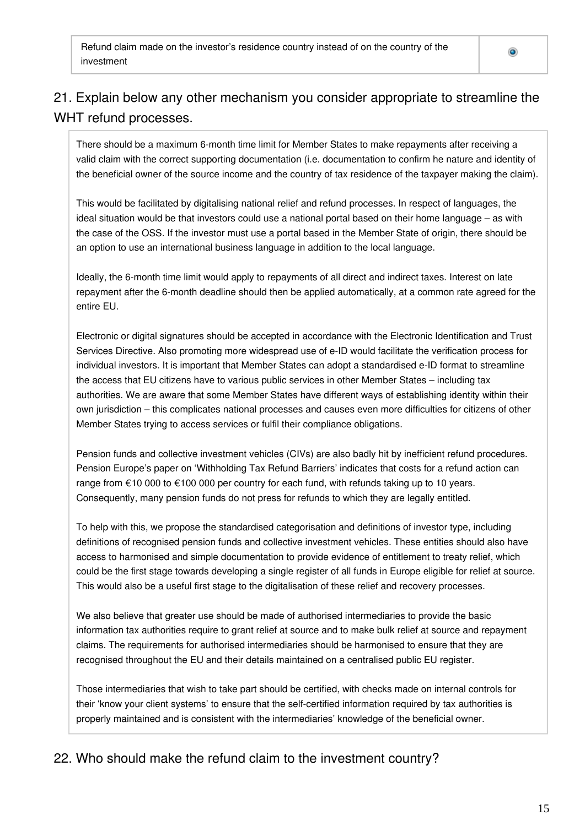Refund claim made on the investor's residence country instead of on the country of the investment

### 21. Explain below any other mechanism you consider appropriate to streamline the WHT refund processes.

There should be a maximum 6-month time limit for Member States to make repayments after receiving a valid claim with the correct supporting documentation (i.e. documentation to confirm he nature and identity of the beneficial owner of the source income and the country of tax residence of the taxpayer making the claim).

This would be facilitated by digitalising national relief and refund processes. In respect of languages, the ideal situation would be that investors could use a national portal based on their home language – as with the case of the OSS. If the investor must use a portal based in the Member State of origin, there should be an option to use an international business language in addition to the local language.

Ideally, the 6-month time limit would apply to repayments of all direct and indirect taxes. Interest on late repayment after the 6-month deadline should then be applied automatically, at a common rate agreed for the entire EU.

Electronic or digital signatures should be accepted in accordance with the Electronic Identification and Trust Services Directive. Also promoting more widespread use of e-ID would facilitate the verification process for individual investors. It is important that Member States can adopt a standardised e-ID format to streamline the access that EU citizens have to various public services in other Member States – including tax authorities. We are aware that some Member States have different ways of establishing identity within their own jurisdiction – this complicates national processes and causes even more difficulties for citizens of other Member States trying to access services or fulfil their compliance obligations.

Pension funds and collective investment vehicles (CIVs) are also badly hit by inefficient refund procedures. Pension Europe's paper on 'Withholding Tax Refund Barriers' indicates that costs for a refund action can range from €10 000 to €100 000 per country for each fund, with refunds taking up to 10 years. Consequently, many pension funds do not press for refunds to which they are legally entitled.

To help with this, we propose the standardised categorisation and definitions of investor type, including definitions of recognised pension funds and collective investment vehicles. These entities should also have access to harmonised and simple documentation to provide evidence of entitlement to treaty relief, which could be the first stage towards developing a single register of all funds in Europe eligible for relief at source. This would also be a useful first stage to the digitalisation of these relief and recovery processes.

We also believe that greater use should be made of authorised intermediaries to provide the basic information tax authorities require to grant relief at source and to make bulk relief at source and repayment claims. The requirements for authorised intermediaries should be harmonised to ensure that they are recognised throughout the EU and their details maintained on a centralised public EU register.

Those intermediaries that wish to take part should be certified, with checks made on internal controls for their 'know your client systems' to ensure that the self-certified information required by tax authorities is properly maintained and is consistent with the intermediaries' knowledge of the beneficial owner.

### 22. Who should make the refund claim to the investment country?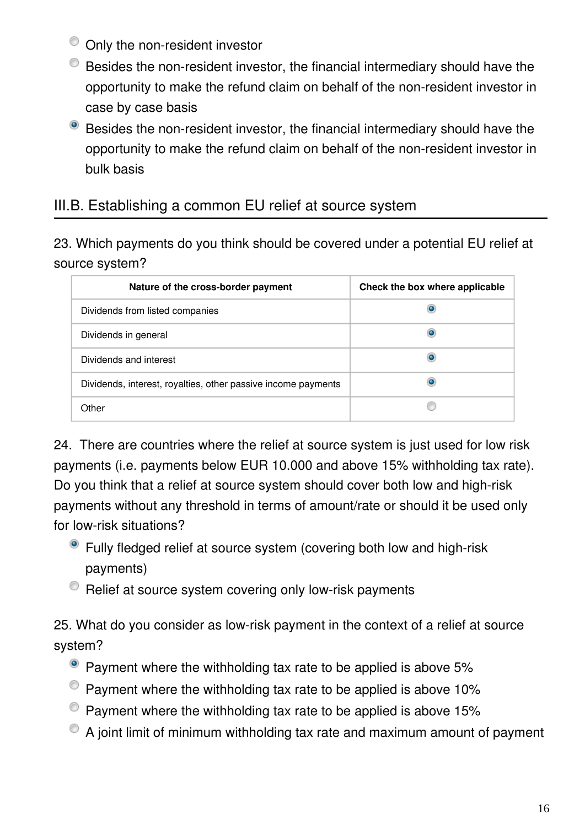- <sup>O</sup> Only the non-resident investor
- Besides the non-resident investor, the financial intermediary should have the opportunity to make the refund claim on behalf of the non-resident investor in case by case basis
- <sup>o</sup> Besides the non-resident investor, the financial intermediary should have the opportunity to make the refund claim on behalf of the non-resident investor in bulk basis

### III.B. Establishing a common EU relief at source system

23. Which payments do you think should be covered under a potential EU relief at source system?

| Nature of the cross-border payment                            | Check the box where applicable |
|---------------------------------------------------------------|--------------------------------|
| Dividends from listed companies                               |                                |
| Dividends in general                                          |                                |
| Dividends and interest                                        |                                |
| Dividends, interest, royalties, other passive income payments |                                |
| Other                                                         |                                |

24. There are countries where the relief at source system is just used for low risk payments (i.e. payments below EUR 10.000 and above 15% withholding tax rate). Do you think that a relief at source system should cover both low and high-risk payments without any threshold in terms of amount/rate or should it be used only for low-risk situations?

- Fully fledged relief at source system (covering both low and high-risk payments)
- $\bullet$  Relief at source system covering only low-risk payments

25. What do you consider as low-risk payment in the context of a relief at source system?

- Payment where the withholding tax rate to be applied is above 5%
- $\bullet$  Payment where the withholding tax rate to be applied is above 10%
- $\bullet$  Payment where the withholding tax rate to be applied is above 15%
- A joint limit of minimum withholding tax rate and maximum amount of payment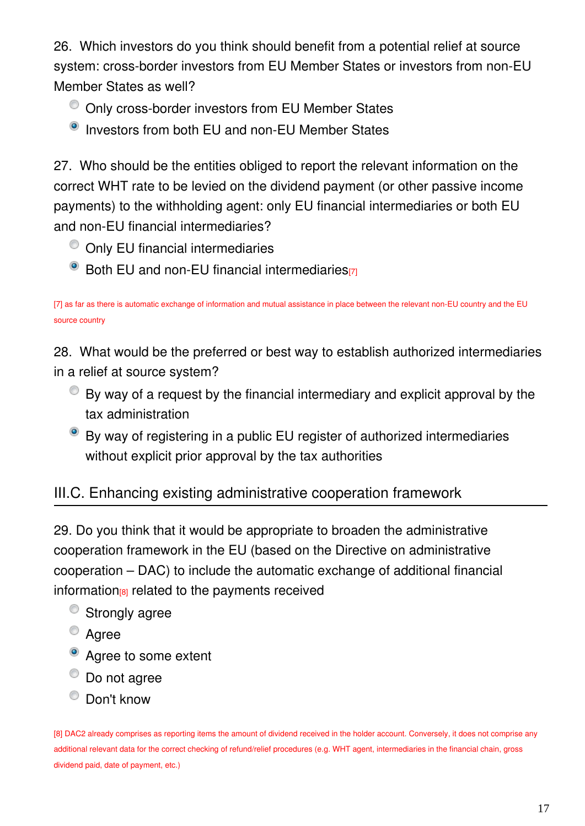26. Which investors do you think should benefit from a potential relief at source system: cross-border investors from EU Member States or investors from non-EU Member States as well?

- $\bullet$  Only cross-border investors from EU Member States
- <sup>O</sup> Investors from both EU and non-EU Member States

27. Who should be the entities obliged to report the relevant information on the correct WHT rate to be levied on the dividend payment (or other passive income payments) to the withholding agent: only EU financial intermediaries or both EU and non-EU financial intermediaries?

- $\bullet$  Only EU financial intermediaries
- Both EU and non-EU financial intermediaries<sup>[7]</sup>

[7] as far as there is automatic exchange of information and mutual assistance in place between the relevant non-EU country and the EU source country

28. What would be the preferred or best way to establish authorized intermediaries in a relief at source system?

- $\bullet$  By way of a request by the financial intermediary and explicit approval by the tax administration
- By way of registering in a public EU register of authorized intermediaries without explicit prior approval by the tax authorities

## III.C. Enhancing existing administrative cooperation framework

29. Do you think that it would be appropriate to broaden the administrative cooperation framework in the EU (based on the Directive on administrative cooperation – DAC) to include the automatic exchange of additional financial information<sup>[8]</sup> related to the payments received

- <sup>o</sup> Strongly agree
- Agree
- Agree to some extent
- <sup>O</sup> Do not agree
- <sup>O</sup> Don't know

[8] DAC2 already comprises as reporting items the amount of dividend received in the holder account. Conversely, it does not comprise any additional relevant data for the correct checking of refund/relief procedures (e.g. WHT agent, intermediaries in the financial chain, gross dividend paid, date of payment, etc.)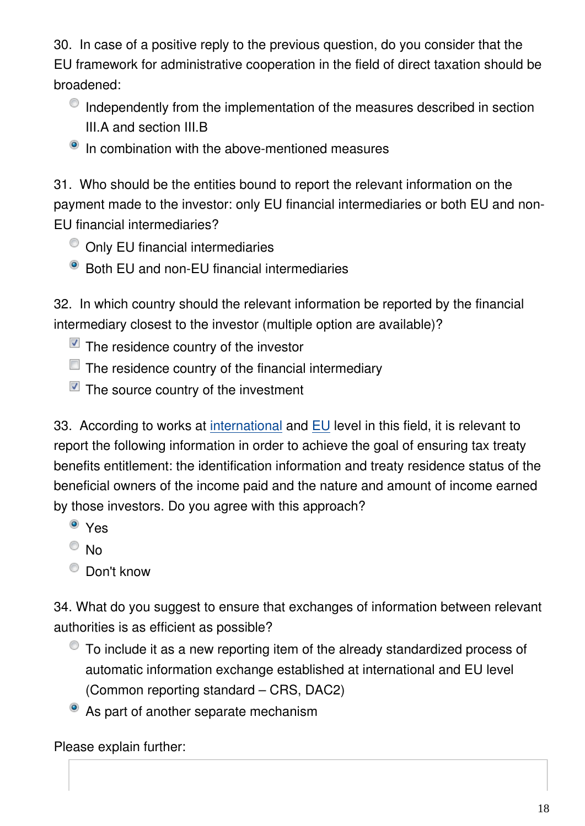30. In case of a positive reply to the previous question, do you consider that the EU framework for administrative cooperation in the field of direct taxation should be broadened:

- $\bullet$  Independently from the implementation of the measures described in section III.A and section III.B
- <sup>O</sup> In combination with the above-mentioned measures

31. Who should be the entities bound to report the relevant information on the payment made to the investor: only EU financial intermediaries or both EU and non-EU financial intermediaries?

- $\bullet$  Only EU financial intermediaries
- Both EU and non-EU financial intermediaries

32. In which country should the relevant information be reported by the financial intermediary closest to the investor (multiple option are available)?

- $\blacksquare$  The residence country of the investor
- $\Box$  The residence country of the financial intermediary
- $\blacksquare$  The source country of the investment

33. According to works at [international](https://www.oecd.org/ctp/exchange-of-tax-information/treatyreliefandcomplianceenhancementtrace.htm) and [EU](https://ec.europa.eu/info/publications/reports-fiscal-compliance-experts-group-fisco_en) level in this field, it is relevant to report the following information in order to achieve the goal of ensuring tax treaty benefits entitlement: the identification information and treaty residence status of the beneficial owners of the income paid and the nature and amount of income earned by those investors. Do you agree with this approach?

- <sup>o</sup> Yes
- $\odot$  No
- Don't know

34. What do you suggest to ensure that exchanges of information between relevant authorities is as efficient as possible?

- To include it as a new reporting item of the already standardized process of automatic information exchange established at international and EU level (Common reporting standard – CRS, DAC2)
- As part of another separate mechanism

Please explain further: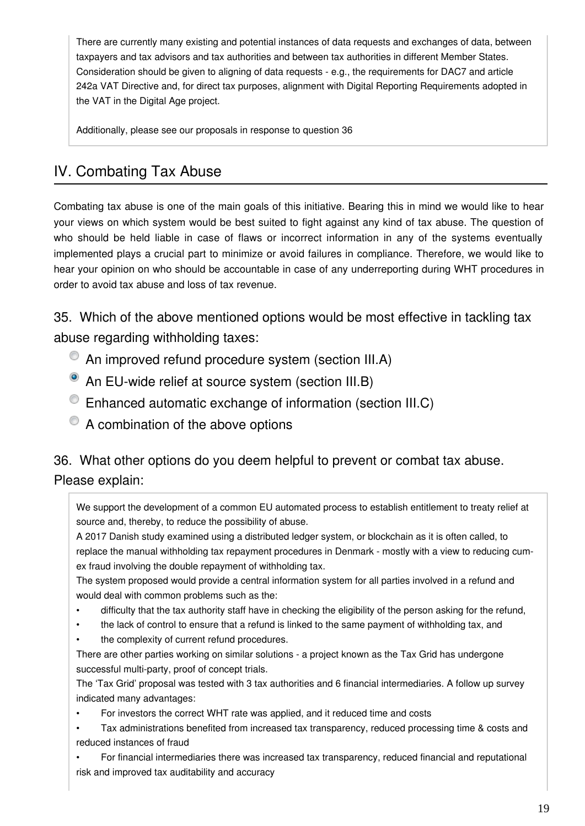There are currently many existing and potential instances of data requests and exchanges of data, between taxpayers and tax advisors and tax authorities and between tax authorities in different Member States. Consideration should be given to aligning of data requests - e.g., the requirements for DAC7 and article 242a VAT Directive and, for direct tax purposes, alignment with Digital Reporting Requirements adopted in the VAT in the Digital Age project.

Additionally, please see our proposals in response to question 36

## IV. Combating Tax Abuse

Combating tax abuse is one of the main goals of this initiative. Bearing this in mind we would like to hear your views on which system would be best suited to fight against any kind of tax abuse. The question of who should be held liable in case of flaws or incorrect information in any of the systems eventually implemented plays a crucial part to minimize or avoid failures in compliance. Therefore, we would like to hear your opinion on who should be accountable in case of any underreporting during WHT procedures in order to avoid tax abuse and loss of tax revenue.

35. Which of the above mentioned options would be most effective in tackling tax abuse regarding withholding taxes:

- An improved refund procedure system (section III.A)
- An EU-wide relief at source system (section III.B)
- Enhanced automatic exchange of information (section III.C)
- $\bullet$  A combination of the above options

### 36. What other options do you deem helpful to prevent or combat tax abuse. Please explain:

We support the development of a common EU automated process to establish entitlement to treaty relief at source and, thereby, to reduce the possibility of abuse.

A 2017 Danish study examined using a distributed ledger system, or blockchain as it is often called, to replace the manual withholding tax repayment procedures in Denmark - mostly with a view to reducing cumex fraud involving the double repayment of withholding tax.

The system proposed would provide a central information system for all parties involved in a refund and would deal with common problems such as the:

- difficulty that the tax authority staff have in checking the eligibility of the person asking for the refund,
- the lack of control to ensure that a refund is linked to the same payment of withholding tax, and
- the complexity of current refund procedures.

There are other parties working on similar solutions - a project known as the Tax Grid has undergone successful multi-party, proof of concept trials.

The 'Tax Grid' proposal was tested with 3 tax authorities and 6 financial intermediaries. A follow up survey indicated many advantages:

- For investors the correct WHT rate was applied, and it reduced time and costs
- Tax administrations benefited from increased tax transparency, reduced processing time & costs and reduced instances of fraud

• For financial intermediaries there was increased tax transparency, reduced financial and reputational risk and improved tax auditability and accuracy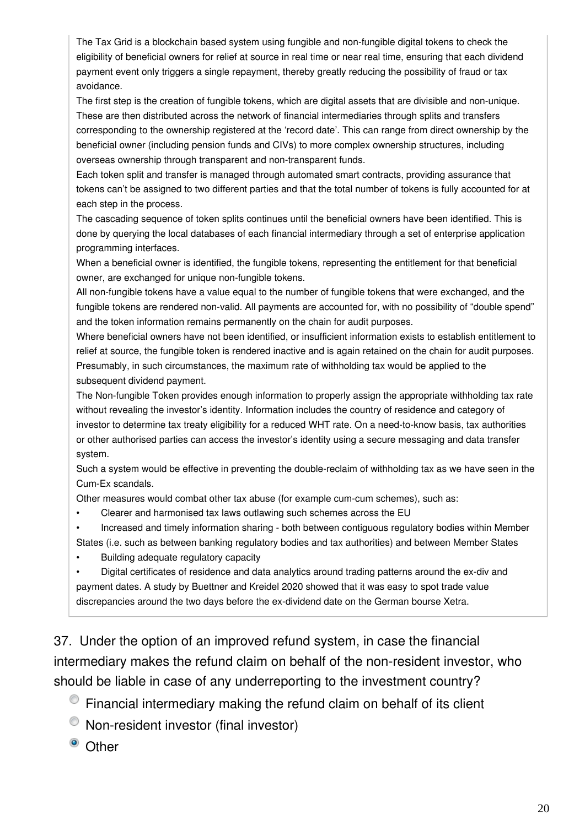The Tax Grid is a blockchain based system using fungible and non-fungible digital tokens to check the eligibility of beneficial owners for relief at source in real time or near real time, ensuring that each dividend payment event only triggers a single repayment, thereby greatly reducing the possibility of fraud or tax avoidance.

The first step is the creation of fungible tokens, which are digital assets that are divisible and non-unique. These are then distributed across the network of financial intermediaries through splits and transfers corresponding to the ownership registered at the 'record date'. This can range from direct ownership by the beneficial owner (including pension funds and CIVs) to more complex ownership structures, including overseas ownership through transparent and non-transparent funds.

Each token split and transfer is managed through automated smart contracts, providing assurance that tokens can't be assigned to two different parties and that the total number of tokens is fully accounted for at each step in the process.

The cascading sequence of token splits continues until the beneficial owners have been identified. This is done by querying the local databases of each financial intermediary through a set of enterprise application programming interfaces.

When a beneficial owner is identified, the fungible tokens, representing the entitlement for that beneficial owner, are exchanged for unique non-fungible tokens.

All non-fungible tokens have a value equal to the number of fungible tokens that were exchanged, and the fungible tokens are rendered non-valid. All payments are accounted for, with no possibility of "double spend" and the token information remains permanently on the chain for audit purposes.

Where beneficial owners have not been identified, or insufficient information exists to establish entitlement to relief at source, the fungible token is rendered inactive and is again retained on the chain for audit purposes. Presumably, in such circumstances, the maximum rate of withholding tax would be applied to the subsequent dividend payment.

The Non-fungible Token provides enough information to properly assign the appropriate withholding tax rate without revealing the investor's identity. Information includes the country of residence and category of investor to determine tax treaty eligibility for a reduced WHT rate. On a need-to-know basis, tax authorities or other authorised parties can access the investor's identity using a secure messaging and data transfer system.

Such a system would be effective in preventing the double-reclaim of withholding tax as we have seen in the Cum-Ex scandals.

Other measures would combat other tax abuse (for example cum-cum schemes), such as:

• Clearer and harmonised tax laws outlawing such schemes across the EU

• Increased and timely information sharing - both between contiguous regulatory bodies within Member States (i.e. such as between banking regulatory bodies and tax authorities) and between Member States

• Building adequate regulatory capacity

• Digital certificates of residence and data analytics around trading patterns around the ex-div and payment dates. A study by Buettner and Kreidel 2020 showed that it was easy to spot trade value discrepancies around the two days before the ex-dividend date on the German bourse Xetra.

37. Under the option of an improved refund system, in case the financial intermediary makes the refund claim on behalf of the non-resident investor, who should be liable in case of any underreporting to the investment country?

Financial intermediary making the refund claim on behalf of its client

Non-resident investor (final investor)

<sup>o</sup> Other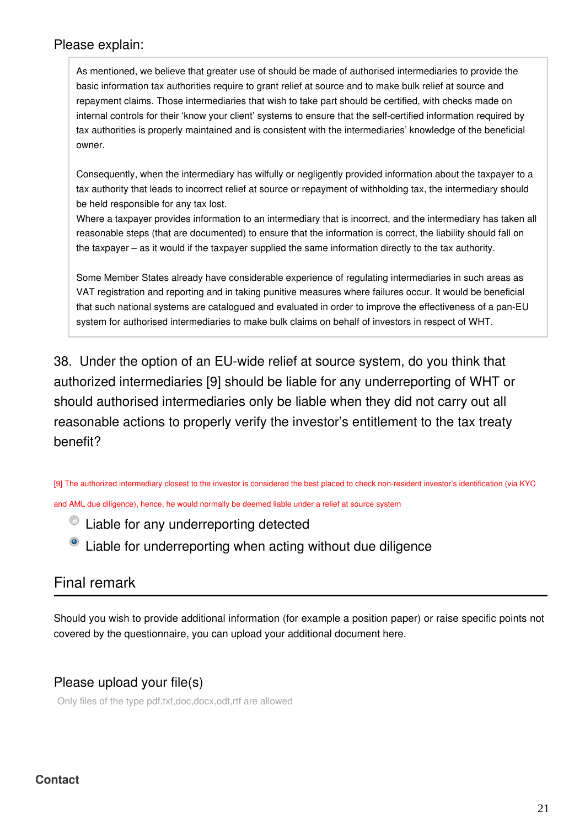#### Please explain:

As mentioned, we believe that greater use of should be made of authorised intermediaries to provide the basic information tax authorities require to grant relief at source and to make bulk relief at source and repayment claims. Those intermediaries that wish to take part should be certified, with checks made on internal controls for their 'know your client' systems to ensure that the self-certified information required by tax authorities is properly maintained and is consistent with the intermediaries' knowledge of the beneficial owner.

Consequently, when the intermediary has wilfully or negligently provided information about the taxpayer to a tax authority that leads to incorrect relief at source or repayment of withholding tax, the intermediary should be held responsible for any tax lost.

Where a taxpayer provides information to an intermediary that is incorrect, and the intermediary has taken all reasonable steps (that are documented) to ensure that the information is correct, the liability should fall on the taxpayer – as it would if the taxpayer supplied the same information directly to the tax authority.

Some Member States already have considerable experience of regulating intermediaries in such areas as VAT registration and reporting and in taking punitive measures where failures occur. It would be beneficial that such national systems are catalogued and evaluated in order to improve the effectiveness of a pan-EU system for authorised intermediaries to make bulk claims on behalf of investors in respect of WHT.

38. Under the option of an EU-wide relief at source system, do you think that authorized intermediaries [9] should be liable for any underreporting of WHT or should authorised intermediaries only be liable when they did not carry out all reasonable actions to properly verify the investor's entitlement to the tax treaty benefit?

[9] The authorized intermediary closest to the investor is considered the best placed to check non-resident investor's identification (via KYC and AML due diligence), hence, he would normally be deemed liable under a relief at source system

 $\bullet$  Liable for any underreporting detected

 $\bullet$  Liable for underreporting when acting without due diligence

### Final remark

Should you wish to provide additional information (for example a position paper) or raise specific points not covered by the questionnaire, you can upload your additional document here.

### Please upload your file(s)

Only files of the type pdf,txt,doc,docx,odt,rtf are allowed